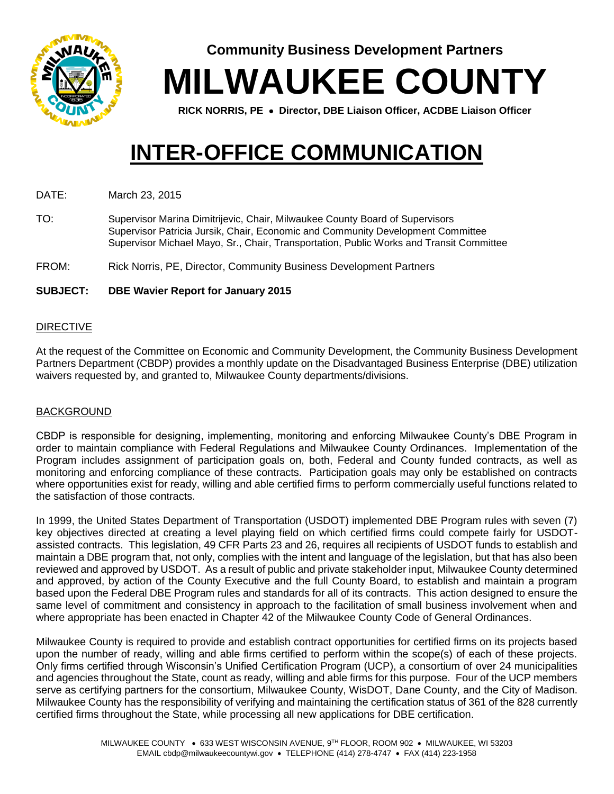

**Community Business Development Partners**

**MILWAUKEE COUNTY**

**RICK NORRIS, PE Director, DBE Liaison Officer, ACDBE Liaison Officer**

# **INTER-OFFICE COMMUNICATION**

DATE: March 23, 2015

TO: Supervisor Marina Dimitrijevic, Chair, Milwaukee County Board of Supervisors Supervisor Patricia Jursik, Chair, Economic and Community Development Committee Supervisor Michael Mayo, Sr., Chair, Transportation, Public Works and Transit Committee

FROM: Rick Norris, PE, Director, Community Business Development Partners

#### **SUBJECT: DBE Wavier Report for January 2015**

#### DIRECTIVE

At the request of the Committee on Economic and Community Development, the Community Business Development Partners Department (CBDP) provides a monthly update on the Disadvantaged Business Enterprise (DBE) utilization waivers requested by, and granted to, Milwaukee County departments/divisions.

#### BACKGROUND

CBDP is responsible for designing, implementing, monitoring and enforcing Milwaukee County's DBE Program in order to maintain compliance with Federal Regulations and Milwaukee County Ordinances. Implementation of the Program includes assignment of participation goals on, both, Federal and County funded contracts, as well as monitoring and enforcing compliance of these contracts. Participation goals may only be established on contracts where opportunities exist for ready, willing and able certified firms to perform commercially useful functions related to the satisfaction of those contracts.

In 1999, the United States Department of Transportation (USDOT) implemented DBE Program rules with seven (7) key objectives directed at creating a level playing field on which certified firms could compete fairly for USDOTassisted contracts. This legislation, 49 CFR Parts 23 and 26, requires all recipients of USDOT funds to establish and maintain a DBE program that, not only, complies with the intent and language of the legislation, but that has also been reviewed and approved by USDOT. As a result of public and private stakeholder input, Milwaukee County determined and approved, by action of the County Executive and the full County Board, to establish and maintain a program based upon the Federal DBE Program rules and standards for all of its contracts. This action designed to ensure the same level of commitment and consistency in approach to the facilitation of small business involvement when and where appropriate has been enacted in Chapter 42 of the Milwaukee County Code of General Ordinances.

Milwaukee County is required to provide and establish contract opportunities for certified firms on its projects based upon the number of ready, willing and able firms certified to perform within the scope(s) of each of these projects. Only firms certified through Wisconsin's Unified Certification Program (UCP), a consortium of over 24 municipalities and agencies throughout the State, count as ready, willing and able firms for this purpose. Four of the UCP members serve as certifying partners for the consortium, Milwaukee County, WisDOT, Dane County, and the City of Madison. Milwaukee County has the responsibility of verifying and maintaining the certification status of 361 of the 828 currently certified firms throughout the State, while processing all new applications for DBE certification.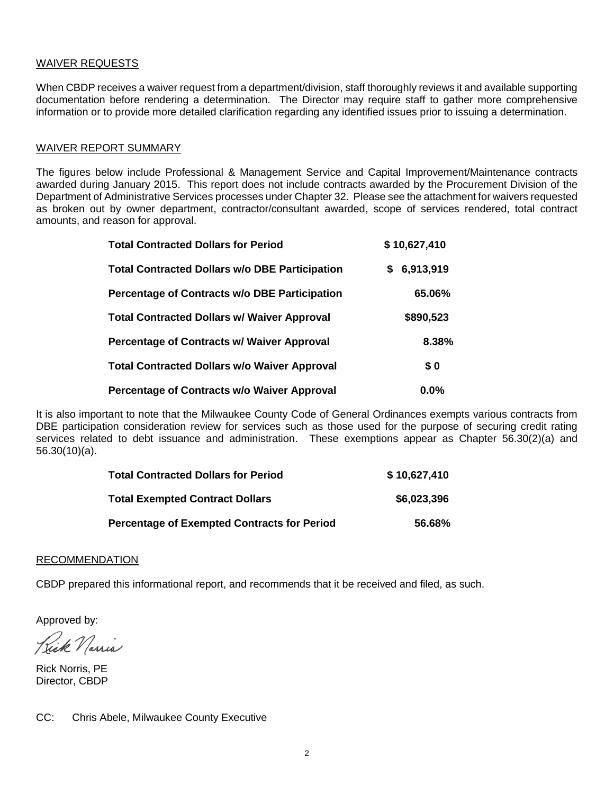#### WAIVER REQUESTS

When CBDP receives a waiver request from a department/division, staff thoroughly reviews it and available supporting documentation before rendering a determination. The Director may require staff to gather more comprehensive information or to provide more detailed clarification regarding any identified issues prior to issuing a determination.

#### WAIVER REPORT SUMMARY

The figures below include Professional & Management Service and Capital Improvement/Maintenance contracts awarded during January 2015. This report does not include contracts awarded by the Procurement Division of the Department of Administrative Services processes under Chapter 32. Please see the attachment for waivers requested as broken out by owner department, contractor/consultant awarded, scope of services rendered, total contract amounts, and reason for approval.

| <b>Total Contracted Dollars for Period</b>            | \$10,627,410    |  |  |  |
|-------------------------------------------------------|-----------------|--|--|--|
| <b>Total Contracted Dollars w/o DBE Participation</b> | 6,913,919<br>\$ |  |  |  |
| Percentage of Contracts w/o DBE Participation         | 65.06%          |  |  |  |
| <b>Total Contracted Dollars w/ Waiver Approval</b>    | \$890,523       |  |  |  |
| <b>Percentage of Contracts w/ Waiver Approval</b>     | 8.38%           |  |  |  |
| <b>Total Contracted Dollars w/o Waiver Approval</b>   | \$0             |  |  |  |
| <b>Percentage of Contracts w/o Waiver Approval</b>    | $0.0\%$         |  |  |  |

It is also important to note that the Milwaukee County Code of General Ordinances exempts various contracts from DBE participation consideration review for services such as those used for the purpose of securing credit rating services related to debt issuance and administration. These exemptions appear as Chapter 56.30(2)(a) and 56.30(10)(a).

| <b>Total Contracted Dollars for Period</b>         | \$10,627,410 |
|----------------------------------------------------|--------------|
| <b>Total Exempted Contract Dollars</b>             | \$6,023,396  |
| <b>Percentage of Exempted Contracts for Period</b> | 56.68%       |

#### RECOMMENDATION

CBDP prepared this informational report, and recommends that it be received and filed, as such.

Approved by:

Rick Narria

Rick Norris, PE Director, CBDP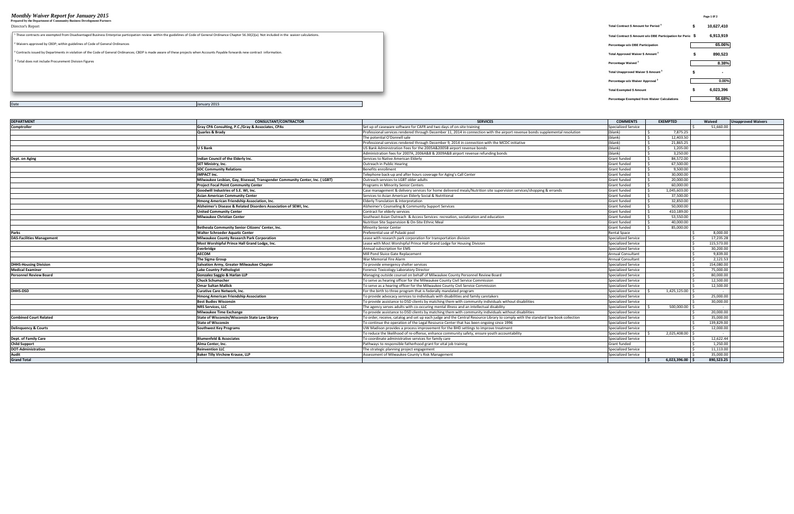## *Monthly Waiver Report for January 2015* **Page 1 0f 2 Prepared by the Department of Community Business Development Partners**

| Prepared by the Department of Community Business Development Partners                                                                                                                                                  |                                                             |                          |
|------------------------------------------------------------------------------------------------------------------------------------------------------------------------------------------------------------------------|-------------------------------------------------------------|--------------------------|
| Director's Report                                                                                                                                                                                                      | Total Contract \$ Amount for Period 4                       | 10,627,410               |
| <sup>1</sup> These contracts are exempted from Disadvantaged Business Enterprise participation review within the guidelines of Code of General Ordinance Chapter 56.30(2)(a). Not included in the waiver calculations. | Total Contract \$ Amount w/o DBE Participation for Perio \$ | 6,913,919                |
| <sup>2</sup> Waivers approved by CBDP; within guidelines of Code of General Ordinances                                                                                                                                 | Percentage w/o DBE Participation                            | 65.06%                   |
| <sup>3</sup> Contracts issued by Departments in violation of the Code of General Ordinances; CBDP is made aware of these projects when Accounts Payable forwards new contract information.                             | <b>Total Approved Waiver \$ Amount</b>                      | 890,523                  |
| <sup>4</sup> Total does not include Procurement Division Figures                                                                                                                                                       | Percentage Waived <sup>2</sup>                              | 8.38%                    |
|                                                                                                                                                                                                                        | Total Unapproved Waiver \$ Amount <sup>3</sup>              | $\overline{\phantom{a}}$ |
|                                                                                                                                                                                                                        | Percentage w/o Waiver Approval                              | $0.00\%$                 |
|                                                                                                                                                                                                                        | <b>Total Exempted \$ Amount</b>                             | 6,023,396                |
|                                                                                                                                                                                                                        | <b>Percentage Exempted from Waiver Calculations</b>         | 56.68%                   |

| <b>DEPARTMENT</b>                | <b>CONSULTANT/CONTRACTOR</b>                                                | <b>SERVICES</b>                                                                                                                   | <b>COMMENTS</b>          | <b>EXEMPTED</b> | Waived     | <b>Unapproved Waivers</b> |
|----------------------------------|-----------------------------------------------------------------------------|-----------------------------------------------------------------------------------------------------------------------------------|--------------------------|-----------------|------------|---------------------------|
| <b>Comptroller</b>               | Gray CPA Consulting, P.C./Gray & Associates, CPAs                           | Set up of caseware software for CAFR and two days of on-site training                                                             | Specialized Service      |                 | 51.660.00  |                           |
|                                  | Quarles & Brady                                                             | Professional services rendered through December 11, 2014 in connection with the airport revenue bonds supplemental resolution     | (blank)                  | 7,875.25        |            |                           |
|                                  |                                                                             | The potential O'Donnell sale                                                                                                      | (blank)                  | 12,403.50       |            |                           |
|                                  |                                                                             | Professional services rendered through December 9, 2014 in connection with the MCDC initiative                                    | (blank)                  | 21,865.25       |            |                           |
|                                  | U S Bank                                                                    | US Bank Administration Fees for the 2005A&2005B airport revenue bonds                                                             | (blank)                  | 1,205.00        |            |                           |
|                                  |                                                                             | Administration fees for 2007A, 2006A&B & 2009A&B airport revenue refunding bonds                                                  | (blank)                  | 3.250.00        |            |                           |
| Dept. on Aging                   | Indian Council of the Elderly Inc.                                          | Services to Native American Elderly                                                                                               | <b>Grant funded</b>      | 84.572.00       |            |                           |
|                                  | SET Ministry, Inc.                                                          | Outreach in Public Hearing                                                                                                        | <b>Grant funded</b>      | 67,500.00       |            |                           |
|                                  | <b>SDC Community Relations</b>                                              | Benefits enrollment                                                                                                               | <b>Grant funded</b>      | 9.500.00        |            |                           |
|                                  | <b>IMPACT Inc.</b>                                                          | Telephone back-up and after hours coverage for Aging's Call Center                                                                | <b>Grant funded</b>      | 30,000.00       |            |                           |
|                                  | Milwaukee Lesbian, Gay, Bisexual, Transgender Community Center, Inc. (LGBT) | Outreach services to LGBT older adults                                                                                            | <b>Grant funded</b>      | 20,000.00       |            |                           |
|                                  | <b>Project Focal Point Community Center</b>                                 | Programs in Minority Senior Centers                                                                                               | <b>Grant funded</b>      | 60.000.00       |            |                           |
|                                  | Goodwill Industries of S.E. WI. Inc.                                        | Case management & delivery services for home delivered meals/Nutrition site supervision services/shopping & errands               | <b>Grant funded</b>      | 1.045.603.00    |            |                           |
|                                  | <b>Asian American Community Center</b>                                      | Services to Asian American Elderly Social & Nutritional                                                                           | <b>Grant funded</b>      | 37,500.00       |            |                           |
|                                  | Hmong American Friendship Association, Inc.                                 | Elderly Translation & Interpretation                                                                                              | <b>Grant funded</b>      | 32.850.00       |            |                           |
|                                  | Alzheimer's Disease & Related Disorders Association of SEWI, Inc.           | Alzheimer's Counseling & Community Support Services                                                                               | <b>Grant funded</b>      | 50.000.00       |            |                           |
|                                  | <b>United Community Center</b>                                              | Contract for elderly services                                                                                                     | <b>Grant funded</b>      | 410.189.00      |            |                           |
|                                  | <b>Milwaukee Christian Center</b>                                           | Southeast Asian Outreach & Access Services: recreation, socialization and education                                               | <b>Grant funded</b>      | 53.550.00       |            |                           |
|                                  |                                                                             | Nutrition Site Supervision & On-Site Ethnic Meal                                                                                  | <b>Grant funded</b>      | 40.000.00       |            |                           |
|                                  | Bethesda Community Senior Citizens' Center, Inc.                            | <b>Minority Senior Center</b>                                                                                                     | <b>Grant funded</b>      | 85,000.00       |            |                           |
| <b>Parks</b>                     | <b>Walter Schroeder Aquatic Center</b>                                      | Preferential use of Pulaski pool                                                                                                  | <b>Rental Space</b>      |                 | 8,000.00   |                           |
| <b>DAS-Facilities Management</b> | Milwaukee County Research Park Corporation                                  | Lease with research park corporation for transportation division                                                                  | Specialized Service      |                 | 17,235.28  |                           |
|                                  | Most Worshipful Prince Hall Grand Lodge, Inc.                               | Lease with Most Worshipful Prince Hall Grand Lodge for Housing Division                                                           | Specialized Service      |                 | 115,573.00 |                           |
|                                  | Everbridge                                                                  | Annual subscription for EMS                                                                                                       | Specialized Service      |                 | 30,200.00  |                           |
|                                  | AECOM                                                                       | Mill Pond Sluice Gate Replacement                                                                                                 | <b>Annual Consultant</b> |                 | 9,839.00   |                           |
|                                  | The Sigma Group                                                             | War Memorial Fire Alarm                                                                                                           | <b>Annual Consultant</b> |                 | 2,121.53   |                           |
| <b>DHHS-Housing Division</b>     | Salvation Army, Greater Milwaukee Chapter                                   | To provide emergency shelter services                                                                                             | Specialized Service      | $\zeta$         | 154,080.00 |                           |
| <b>Medical Examiner</b>          | <b>Lake Country Pathologist</b>                                             | Forensic Toxicology Laboratory Director                                                                                           | Specialized Service      |                 | 75,000.00  |                           |
| <b>Personnel Review Board</b>    | Gonzalez Saggio & Harlan LLP                                                | Managing outside counsel on behalf of Milwaukee County Personnel Review Board                                                     | Specialized Service      |                 | 80.000.00  |                           |
|                                  | <b>Chuck Schumacher</b>                                                     | To serve as hearing officer for the Milwaukee County Civil Service Commission                                                     | Specialized Service      |                 | 12,500.00  |                           |
|                                  | <b>Omar Sultan Mallick</b>                                                  | To serve as a hearing officer for the Milwaukee County Civil Service Commission                                                   | Specialized Service      |                 | 12,500.00  |                           |
| <b>DHHS-DSD</b>                  | <b>Curative Care Network, Inc.</b>                                          | For the birth to three program that is federally mandated program                                                                 | Specialized Service      | 1,425,125.00 \$ |            |                           |
|                                  | <b>Hmong American Friendship Association</b>                                | To provide advocacy services to individuals with disabilities and family caretakers                                               | Specialized Service      |                 | 25.000.00  |                           |
|                                  | <b>Best Budies Wisconsin</b>                                                | To provide assistance to DSD clients by matching them with community individuals without disabilities                             | Specialized Service      |                 | 30.000.00  |                           |
|                                  | <b>NRS Services. LLC</b>                                                    | The agency serves adults with co-occuring mental illness and an intellectual disability                                           | Specialized Service      | 500.000.00      |            |                           |
|                                  | <b>Milwaukee Time Exchange</b>                                              | To provide assistance to DSD clients by matching them with community individuals without disabilities                             | Specialized Service      |                 | 20,000.00  |                           |
| <b>Combined Court Related</b>    | State of Wisconsin/Wisconsin State Law Library                              | To order, receive, catalog and set up each judge and the Central Resource Library to comply with the standard law book collection | Specialized Service      |                 | 35,000.00  |                           |
|                                  | <b>State of Wisconsin</b>                                                   | To continue the operation of the Legal Resource Center that has been ongoing since 1996                                           | Specialized Service      |                 | 139,829.00 |                           |
| <b>Delinquency &amp; Courts</b>  | <b>Southwest Key Programs</b>                                               | UW Madison provides a process improvement for the BHD settings to improve treatment                                               | Specialized Service      |                 | 12,000.00  |                           |
|                                  |                                                                             | To reduce the likelihood of re-offense, enhance community safety, ensure youth accountability                                     | Specialized Service      | 2,025,408.00    |            |                           |
| Dept. of Family Care             | <b>Blumenfeld &amp; Associates</b>                                          | To coordinate administrative services for family care                                                                             | Specialized Service      |                 | 12,622.44  |                           |
| <b>Child Support</b>             | Alma Center, Inc.                                                           | Pathways to responsible fatherhood grant for vital job training                                                                   | <b>Grant funded</b>      |                 | 1,250.00   |                           |
| <b>DOT-Administration</b>        | <b>Reinvention LLC</b>                                                      | The strategic planning project engagement                                                                                         | Specialized Service      |                 | 11,113.00  |                           |
| Audit                            | <b>Baker Tilly Virchow Krause, LLP</b>                                      | Assessment of Milwaukee County's Risk Management                                                                                  | Specialized Service      |                 | 35.000.00  |                           |
| <b>Grand Total</b>               |                                                                             |                                                                                                                                   |                          | 6.023.396.00    | 890.523.25 |                           |
|                                  |                                                                             |                                                                                                                                   |                          |                 |            |                           |

Date January 2015